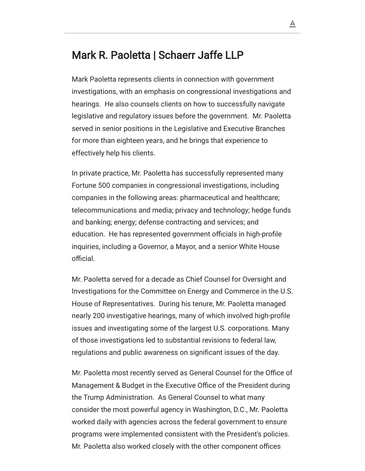## Mark R. Paoletta | Schaerr Jaffe LLP

Mark Paoletta represents clients in connection with government investigations, with an emphasis on congressional investigations and hearings. He also counsels clients on how to successfully navigate legislative and regulatory issues before the government. Mr. Paoletta served in senior positions in the Legislative and Executive Branches for more than eighteen years, and he brings that experience to effectively help his clients.

In private practice, Mr. Paoletta has successfully represented many Fortune 500 companies in congressional investigations, including companies in the following areas: pharmaceutical and healthcare; telecommunications and media; privacy and technology; hedge funds and banking; energy; defense contracting and services; and education. He has represented government officials in high-profile inquiries, including a Governor, a Mayor, and a senior White House official.

Mr. Paoletta served for a decade as Chief Counsel for Oversight and Investigations for the Committee on Energy and Commerce in the U.S. House of Representatives. During his tenure, Mr. Paoletta managed nearly 200 investigative hearings, many of which involved high-profile issues and investigating some of the largest U.S. corporations. Many of those investigations led to substantial revisions to federal law, regulations and public awareness on significant issues of the day.

Mr. Paoletta most recently served as General Counsel for the Office of Management & Budget in the Executive Office of the President during the Trump Administration. As General Counsel to what many consider the most powerful agency in Washington, D.C., Mr. Paoletta worked daily with agencies across the federal government to ensure programs were implemented consistent with the President's policies. Mr. Paoletta also worked closely with the other component offices